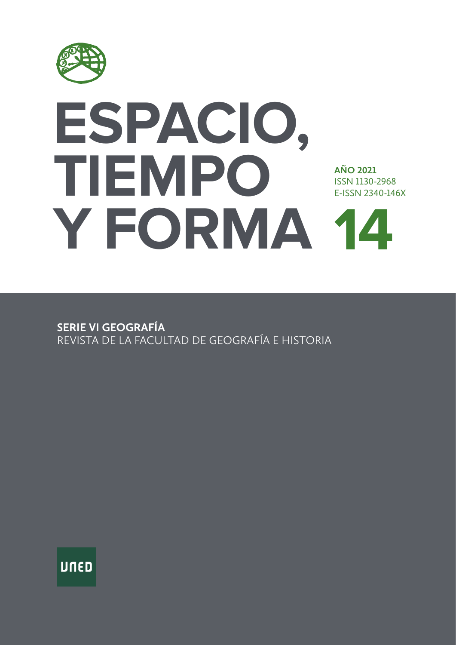

# **ESPACIO, TIEMPO Y FORMA 14AÑO 2021**  ISSN 1130-2968 E-ISSN 2340-146X

**SERIE VI GEOGRAFÍA** REVISTA DE LA FACULTAD DE GEOGRAFÍA E HISTORIA

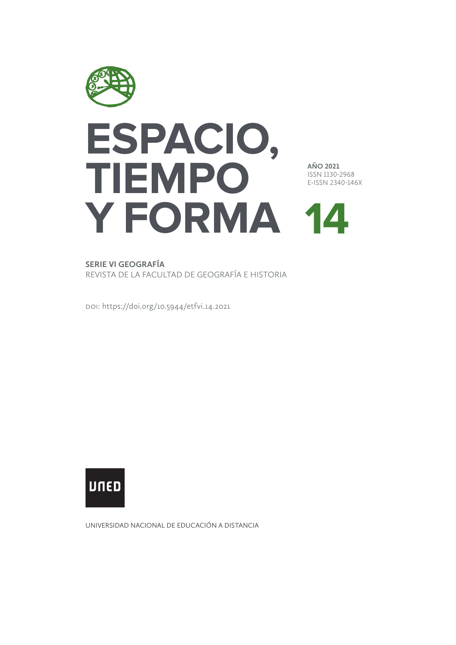

# **14 Y FORMA ESPACIO, TIEMPO**

**AÑO 2021** ISSN 1130-2968 E-ISSN 2340-146X

**SERIE VI GEOGRAFÍA**

REVISTA DE LA FACULTAD DE GEOGRAFÍA E HISTORIA

doi:<https://doi.org/10.5944/etfvi.14.2021>



UNIVERSIDAD NACIONAL DE EDUCACIÓN A DISTANCIA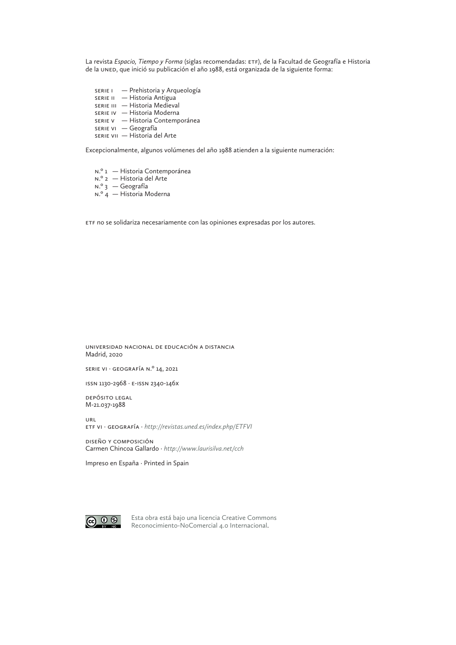La revista *Espacio, Tiempo y Forma* (siglas recomendadas: ETF), de la Facultad de Geografía e Historia de la UNED, que inició su publicación el año 1988, está organizada de la siguiente forma:

- SERIE I Prehistoria y Arqueología SERIE II — Historia Antigua
- SERIE III Historia Medieval
- SERIE IV Historia Moderna
- SERIE V Historia Contemporánea
- SERIE VI Geografía
- SERIE VII Historia del Arte

Excepcionalmente, algunos volúmenes del año 1988 atienden a la siguiente numeración:

N.º 1 — Historia Contemporánea N.º 2 — Historia del Arte N.º 3 — Geografía N.º 4 — Historia Moderna

ETF no se solidariza necesariamente con las opiniones expresadas por los autores.

Universidad Nacional de Educación a Distancia Madrid, 2020

SERIE VI · geografía N.º 14, 2021

ISSN 1130-2968 · e-issn 2340-146X

Depósito legal M-21.037-1988

URL ETF VI · geografía · *http://revistas.uned.es/index.php/ETFVI*

DISEÑO y composición Carmen Chincoa Gallardo · *<http://www.laurisilva.net/cch>*

Impreso en España · Printed in Spain



Esta obra está bajo una li[cencia Creative Commons](http://creativecommons.org/licenses/by-nc/4.0/)  [Reconocimiento-NoComercial 4.0 Internacional](http://creativecommons.org/licenses/by-nc/4.0/).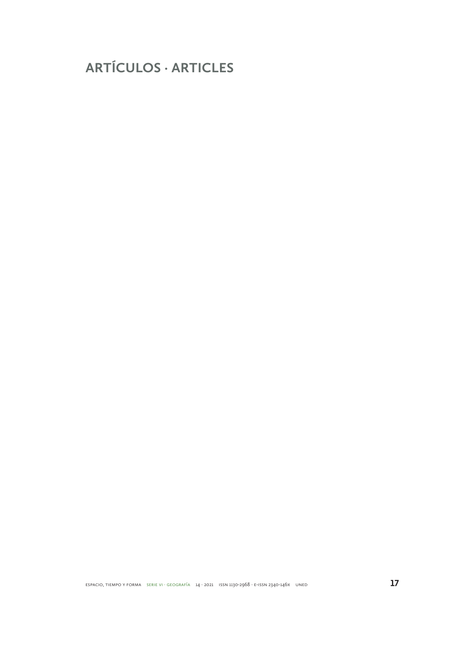**ARTÍCULOS · ARTICLES**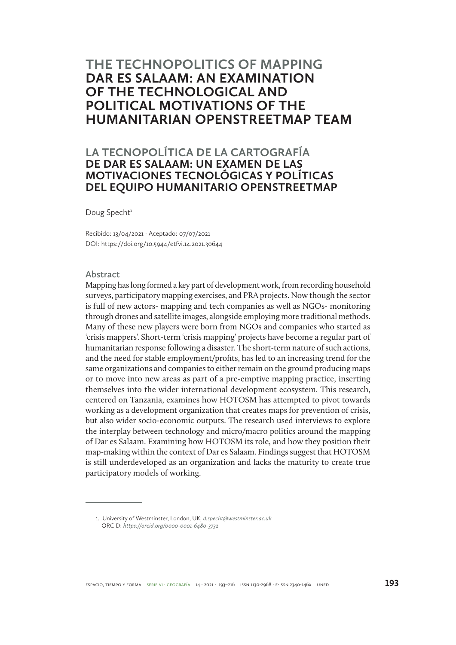### **THE TECHNOPOLITICS OF MAPPING DAR ES SALAAM: AN EXAMINATION OF THE TECHNOLOGICAL AND POLITICAL MOTIVATIONS OF THE HUMANITARIAN OPENSTREETMAP TEAM**

### **LA TECNOPOLÍTICA DE LA CARTOGRAFÍA DE DAR ES SALAAM: UN EXAMEN DE LAS MOTIVACIONES TECNOLÓGICAS Y POLÍTICAS DEL EQUIPO HUMANITARIO OPENSTREETMAP**

Doug Specht<sup>1</sup>

Recibido: 13/04/2021 · Aceptado: 07/07/2021 DOI:<https://doi.org/10.5944/etfvi.14.2021.30644>

### **Abstract**

Mapping has long formed a key part of development work, from recording household surveys, participatory mapping exercises, and PRA projects. Now though the sector is full of new actors- mapping and tech companies as well as NGOs- monitoring through drones and satellite images, alongside employing more traditional methods. Many of these new players were born from NGOs and companies who started as 'crisis mappers'. Short-term 'crisis mapping' projects have become a regular part of humanitarian response following a disaster. The short-term nature of such actions, and the need for stable employment/profits, has led to an increasing trend for the same organizations and companies to either remain on the ground producing maps or to move into new areas as part of a pre-emptive mapping practice, inserting themselves into the wider international development ecosystem. This research, centered on Tanzania, examines how HOTOSM has attempted to pivot towards working as a development organization that creates maps for prevention of crisis, but also wider socio-economic outputs. The research used interviews to explore the interplay between technology and micro/macro politics around the mapping of Dar es Salaam. Examining how HOTOSM its role, and how they position their map-making within the context of Dar es Salaam. Findings suggest that HOTOSM is still underdeveloped as an organization and lacks the maturity to create true participatory models of working.

<sup>1.</sup> University of Westminster, London, UK; *d.specht@westminster.ac.uk* ORCID: *https://orcid.org/0000-0001-6480-3732*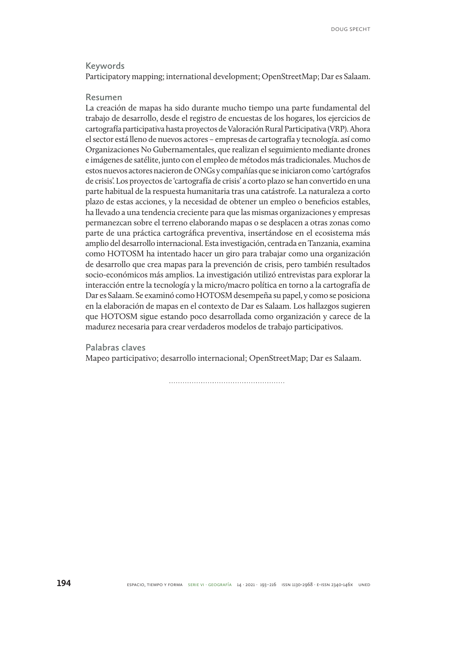### **Keywords**

Participatory mapping; international development; OpenStreetMap; Dar es Salaam.

### **Resumen**

La creación de mapas ha sido durante mucho tiempo una parte fundamental del trabajo de desarrollo, desde el registro de encuestas de los hogares, los ejercicios de cartografía participativa hasta proyectos de Valoración Rural Participativa (VRP). Ahora el sector está lleno de nuevos actores – empresas de cartografía y tecnología. así como Organizaciones No Gubernamentales, que realizan el seguimiento mediante drones e imágenes de satélite, junto con el empleo de métodos más tradicionales. Muchos de estos nuevos actores nacieron de ONGs y compañías que se iniciaron como 'cartógrafos de crisis'. Los proyectos de 'cartografía de crisis' a corto plazo se han convertido en una parte habitual de la respuesta humanitaria tras una catástrofe. La naturaleza a corto plazo de estas acciones, y la necesidad de obtener un empleo o beneficios estables, ha llevado a una tendencia creciente para que las mismas organizaciones y empresas permanezcan sobre el terreno elaborando mapas o se desplacen a otras zonas como parte de una práctica cartográfica preventiva, insertándose en el ecosistema más amplio del desarrollo internacional. Esta investigación, centrada en Tanzania, examina como HOTOSM ha intentado hacer un giro para trabajar como una organización de desarrollo que crea mapas para la prevención de crisis, pero también resultados socio-económicos más amplios. La investigación utilizó entrevistas para explorar la interacción entre la tecnología y la micro/macro política en torno a la cartografía de Dar es Salaam. Se examinó como HOTOSM desempeña su papel, y como se posiciona en la elaboración de mapas en el contexto de Dar es Salaam. Los hallazgos sugieren que HOTOSM sigue estando poco desarrollada como organización y carece de la madurez necesaria para crear verdaderos modelos de trabajo participativos.

**Palabras claves**

Mapeo participativo; desarrollo internacional; OpenStreetMap; Dar es Salaam.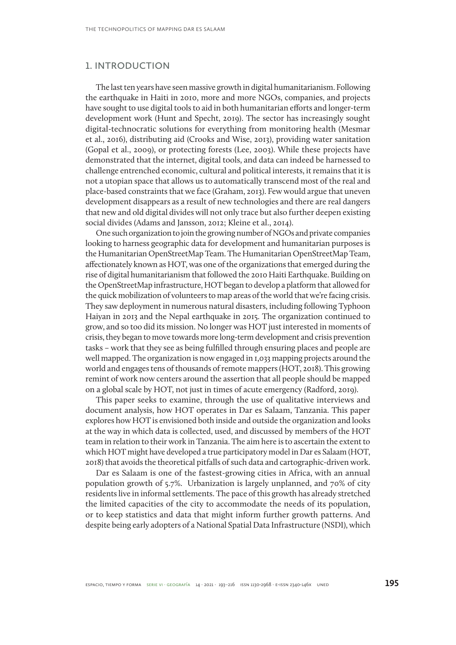### **1. INTRODUCTION**

The last ten years have seen massive growth in digital humanitarianism. Following the earthquake in Haiti in 2010, more and more NGOs, companies, and projects have sought to use digital tools to aid in both humanitarian efforts and longer-term development work (Hunt and Specht, 2019). The sector has increasingly sought digital-technocratic solutions for everything from monitoring health (Mesmar et al., 2016), distributing aid (Crooks and Wise, 2013), providing water sanitation (Gopal et al., 2009), or protecting forests (Lee, 2003). While these projects have demonstrated that the internet, digital tools, and data can indeed be harnessed to challenge entrenched economic, cultural and political interests, it remains that it is not a utopian space that allows us to automatically transcend most of the real and place-based constraints that we face (Graham, 2013). Few would argue that uneven development disappears as a result of new technologies and there are real dangers that new and old digital divides will not only trace but also further deepen existing social divides (Adams and Jansson, 2012; Kleine et al., 2014).

One such organization to join the growing number of NGOs and private companies looking to harness geographic data for development and humanitarian purposes is the Humanitarian OpenStreetMap Team. The Humanitarian OpenStreetMap Team, affectionately known as HOT, was one of the organizations that emerged during the rise of digital humanitarianism that followed the 2010 Haiti Earthquake. Building on the OpenStreetMap infrastructure, HOT began to develop a platform that allowed for the quick mobilization of volunteers to map areas of the world that we're facing crisis. They saw deployment in numerous natural disasters, including following Typhoon Haiyan in 2013 and the Nepal earthquake in 2015. The organization continued to grow, and so too did its mission. No longer was HOT just interested in moments of crisis, they began to move towards more long-term development and crisis prevention tasks – work that they see as being fulfilled through ensuring places and people are well mapped. The organization is now engaged in 1,033 mapping projects around the world and engages tens of thousands of remote mappers (HOT, 2018). This growing remint of work now centers around the assertion that all people should be mapped on a global scale by HOT, not just in times of acute emergency (Radford, 2019).

This paper seeks to examine, through the use of qualitative interviews and document analysis, how HOT operates in Dar es Salaam, Tanzania. This paper explores how HOT is envisioned both inside and outside the organization and looks at the way in which data is collected, used, and discussed by members of the HOT team in relation to their work in Tanzania. The aim here is to ascertain the extent to which HOT might have developed a true participatory model in Dar es Salaam (HOT, 2018) that avoids the theoretical pitfalls of such data and cartographic-driven work.

Dar es Salaam is one of the fastest-growing cities in Africa, with an annual population growth of 5.7%. Urbanization is largely unplanned, and 70% of city residents live in informal settlements. The pace of this growth has already stretched the limited capacities of the city to accommodate the needs of its population, or to keep statistics and data that might inform further growth patterns. And despite being early adopters of a National Spatial Data Infrastructure (NSDI), which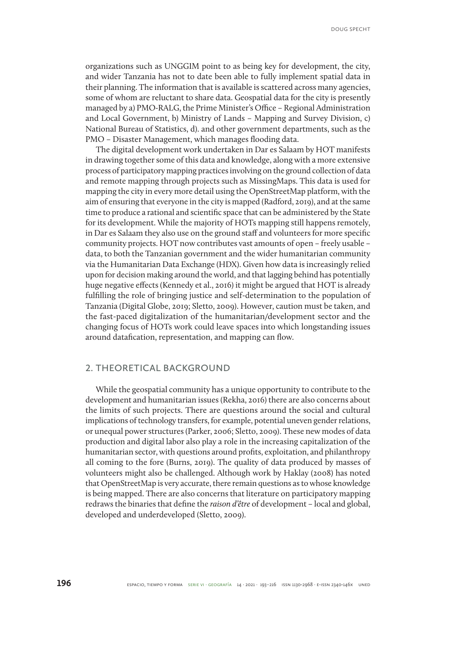Doug Specht

organizations such as UNGGIM point to as being key for development, the city, and wider Tanzania has not to date been able to fully implement spatial data in their planning. The information that is available is scattered across many agencies, some of whom are reluctant to share data. Geospatial data for the city is presently managed by a) PMO-RALG, the Prime Minister's Office – Regional Administration and Local Government, b) Ministry of Lands – Mapping and Survey Division, c) National Bureau of Statistics, d). and other government departments, such as the PMO – Disaster Management, which manages flooding data.

The digital development work undertaken in Dar es Salaam by HOT manifests in drawing together some of this data and knowledge, along with a more extensive process of participatory mapping practices involving on the ground collection of data and remote mapping through projects such as MissingMaps. This data is used for mapping the city in every more detail using the OpenStreetMap platform, with the aim of ensuring that everyone in the city is mapped (Radford, 2019), and at the same time to produce a rational and scientific space that can be administered by the State for its development. While the majority of HOTs mapping still happens remotely, in Dar es Salaam they also use on the ground staff and volunteers for more specific community projects. HOT now contributes vast amounts of open – freely usable – data, to both the Tanzanian government and the wider humanitarian community via the Humanitarian Data Exchange (HDX). Given how data is increasingly relied upon for decision making around the world, and that lagging behind has potentially huge negative effects (Kennedy et al., 2016) it might be argued that HOT is already fulfilling the role of bringing justice and self-determination to the population of Tanzania (Digital Globe, 2019; Sletto, 2009). However, caution must be taken, and the fast-paced digitalization of the humanitarian/development sector and the changing focus of HOTs work could leave spaces into which longstanding issues around datafication, representation, and mapping can flow.

### **2. THEORETICAL BACKGROUND**

While the geospatial community has a unique opportunity to contribute to the development and humanitarian issues (Rekha, 2016) there are also concerns about the limits of such projects. There are questions around the social and cultural implications of technology transfers, for example, potential uneven gender relations, or unequal power structures (Parker, 2006; Sletto, 2009). These new modes of data production and digital labor also play a role in the increasing capitalization of the humanitarian sector, with questions around profits, exploitation, and philanthropy all coming to the fore (Burns, 2019). The quality of data produced by masses of volunteers might also be challenged. Although work by Haklay (2008) has noted that OpenStreetMap is very accurate, there remain questions as to whose knowledge is being mapped. There are also concerns that literature on participatory mapping redraws the binaries that define the *raison d'être* of development – local and global, developed and underdeveloped (Sletto, 2009).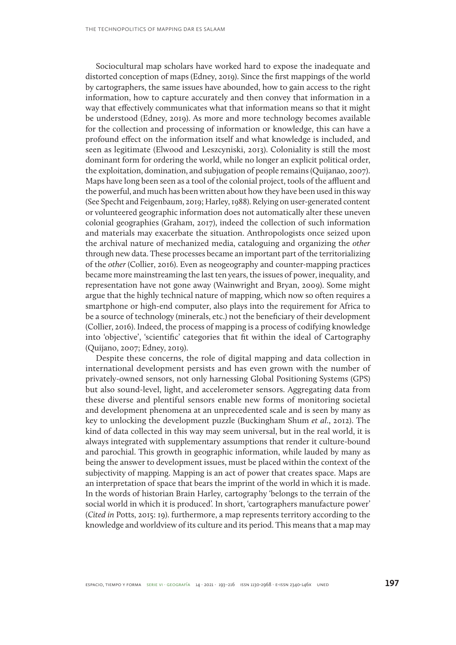Sociocultural map scholars have worked hard to expose the inadequate and distorted conception of maps (Edney, 2019). Since the first mappings of the world by cartographers, the same issues have abounded, how to gain access to the right information, how to capture accurately and then convey that information in a way that effectively communicates what that information means so that it might be understood (Edney, 2019). As more and more technology becomes available for the collection and processing of information or knowledge, this can have a profound effect on the information itself and what knowledge is included, and seen as legitimate (Elwood and Leszcyniski, 2013). Coloniality is still the most dominant form for ordering the world, while no longer an explicit political order, the exploitation, domination, and subjugation of people remains (Quijanao, 2007). Maps have long been seen as a tool of the colonial project, tools of the affluent and the powerful, and much has been written about how they have been used in this way (See Specht and Feigenbaum, 2019; Harley, 1988). Relying on user-generated content or volunteered geographic information does not automatically alter these uneven colonial geographies (Graham, 2017), indeed the collection of such information and materials may exacerbate the situation. Anthropologists once seized upon the archival nature of mechanized media, cataloguing and organizing the *other*  through new data. These processes became an important part of the territorializing of the *other* (Collier, 2016). Even as neogeography and counter-mapping practices became more mainstreaming the last ten years, the issues of power, inequality, and representation have not gone away (Wainwright and Bryan, 2009). Some might argue that the highly technical nature of mapping, which now so often requires a smartphone or high-end computer, also plays into the requirement for Africa to be a source of technology (minerals, etc.) not the beneficiary of their development (Collier, 2016). Indeed, the process of mapping is a process of codifying knowledge into 'objective', 'scientific' categories that fit within the ideal of Cartography (Quijano, 2007; Edney, 2019).

Despite these concerns, the role of digital mapping and data collection in international development persists and has even grown with the number of privately-owned sensors, not only harnessing Global Positioning Systems (GPS) but also sound-level, light, and accelerometer sensors. Aggregating data from these diverse and plentiful sensors enable new forms of monitoring societal and development phenomena at an unprecedented scale and is seen by many as key to unlocking the development puzzle (Buckingham Shum *et al*., 2012). The kind of data collected in this way may seem universal, but in the real world, it is always integrated with supplementary assumptions that render it culture-bound and parochial. This growth in geographic information, while lauded by many as being the answer to development issues, must be placed within the context of the subjectivity of mapping. Mapping is an act of power that creates space. Maps are an interpretation of space that bears the imprint of the world in which it is made. In the words of historian Brain Harley, cartography 'belongs to the terrain of the social world in which it is produced'. In short, 'cartographers manufacture power' (*Cited in* Potts, 2015: 19). furthermore, a map represents territory according to the knowledge and worldview of its culture and its period. This means that a map may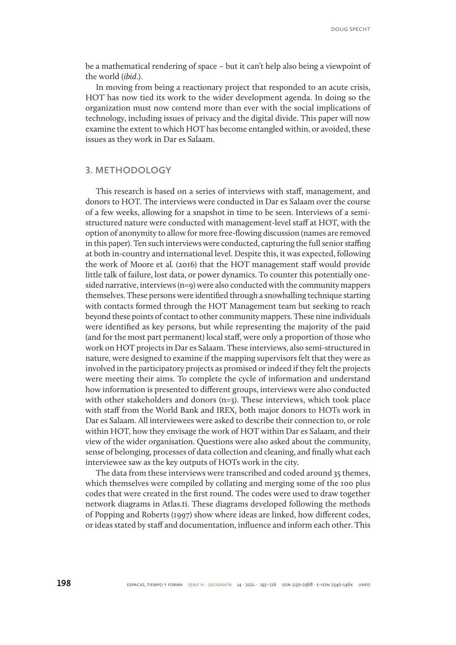be a mathematical rendering of space – but it can't help also being a viewpoint of the world (*ibid*.).

In moving from being a reactionary project that responded to an acute crisis, HOT has now tied its work to the wider development agenda. In doing so the organization must now contend more than ever with the social implications of technology, including issues of privacy and the digital divide. This paper will now examine the extent to which HOT has become entangled within, or avoided, these issues as they work in Dar es Salaam.

### **3. METHODOLOGY**

This research is based on a series of interviews with staff, management, and donors to HOT. The interviews were conducted in Dar es Salaam over the course of a few weeks, allowing for a snapshot in time to be seen. Interviews of a semistructured nature were conducted with management-level staff at HOT, with the option of anonymity to allow for more free-flowing discussion (names are removed in this paper). Ten such interviews were conducted, capturing the full senior staffing at both in-country and international level. Despite this, it was expected, following the work of Moore et al*.* (2016) that the HOT management staff would provide little talk of failure, lost data, or power dynamics. To counter this potentially onesided narrative, interviews (n=9) were also conducted with the community mappers themselves. These persons were identified through a snowballing technique starting with contacts formed through the HOT Management team but seeking to reach beyond these points of contact to other community mappers. These nine individuals were identified as key persons, but while representing the majority of the paid (and for the most part permanent) local staff, were only a proportion of those who work on HOT projects in Dar es Salaam. These interviews, also semi-structured in nature, were designed to examine if the mapping supervisors felt that they were as involved in the participatory projects as promised or indeed if they felt the projects were meeting their aims. To complete the cycle of information and understand how information is presented to different groups, interviews were also conducted with other stakeholders and donors  $(n=3)$ . These interviews, which took place with staff from the World Bank and IREX, both major donors to HOTs work in Dar es Salaam. All interviewees were asked to describe their connection to, or role within HOT, how they envisage the work of HOT within Dar es Salaam, and their view of the wider organisation. Questions were also asked about the community, sense of belonging, processes of data collection and cleaning, and finally what each interviewee saw as the key outputs of HOTs work in the city.

The data from these interviews were transcribed and coded around 35 themes, which themselves were compiled by collating and merging some of the 100 plus codes that were created in the first round. The codes were used to draw together network diagrams in Atlas.ti. These diagrams developed following the methods of Popping and Roberts (1997) show where ideas are linked, how different codes, or ideas stated by staff and documentation, influence and inform each other. This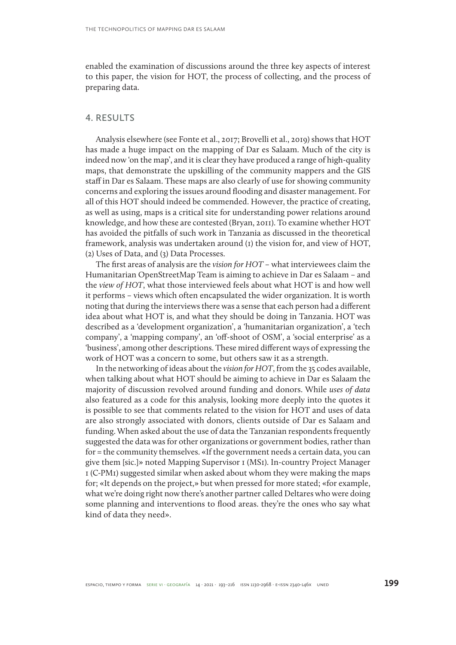enabled the examination of discussions around the three key aspects of interest to this paper, the vision for HOT, the process of collecting, and the process of preparing data.

### **4. RESULTS**

Analysis elsewhere (see Fonte et al., 2017; Brovelli et al., 2019) shows that HOT has made a huge impact on the mapping of Dar es Salaam. Much of the city is indeed now 'on the map', and it is clear they have produced a range of high-quality maps, that demonstrate the upskilling of the community mappers and the GIS staff in Dar es Salaam. These maps are also clearly of use for showing community concerns and exploring the issues around flooding and disaster management. For all of this HOT should indeed be commended. However, the practice of creating, as well as using, maps is a critical site for understanding power relations around knowledge, and how these are contested (Bryan, 2011). To examine whether HOT has avoided the pitfalls of such work in Tanzania as discussed in the theoretical framework, analysis was undertaken around (1) the vision for, and view of HOT, (2) Uses of Data, and (3) Data Processes.

The first areas of analysis are the *vision for HOT* – what interviewees claim the Humanitarian OpenStreetMap Team is aiming to achieve in Dar es Salaam – and the *view of HOT*, what those interviewed feels about what HOT is and how well it performs – views which often encapsulated the wider organization. It is worth noting that during the interviews there was a sense that each person had a different idea about what HOT is, and what they should be doing in Tanzania. HOT was described as a 'development organization', a 'humanitarian organization', a 'tech company', a 'mapping company', an 'off-shoot of OSM', a 'social enterprise' as a 'business', among other descriptions. These mired different ways of expressing the work of HOT was a concern to some, but others saw it as a strength.

In the networking of ideas about the *vision for HOT*, from the 35 codes available, when talking about what HOT should be aiming to achieve in Dar es Salaam the majority of discussion revolved around funding and donors. While *uses of data*  also featured as a code for this analysis, looking more deeply into the quotes it is possible to see that comments related to the vision for HOT and uses of data are also strongly associated with donors, clients outside of Dar es Salaam and funding. When asked about the use of data the Tanzanian respondents frequently suggested the data was for other organizations or government bodies, rather than for = the community themselves. «If the government needs a certain data, you can give them [sic.]» noted Mapping Supervisor 1 (MS1). In-country Project Manager 1 (C-PM1) suggested similar when asked about whom they were making the maps for; «It depends on the project,» but when pressed for more stated; «for example, what we're doing right now there's another partner called Deltares who were doing some planning and interventions to flood areas. they're the ones who say what kind of data they need».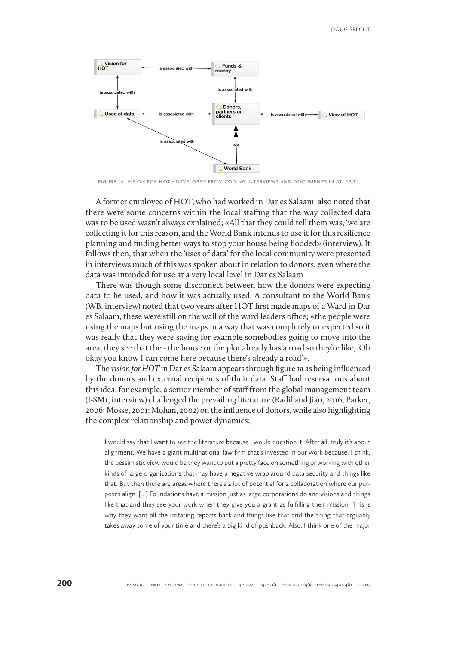

Figure 1a: Vision for HOT - Developed from coding interviews and documents in Atlas.ti

A former employee of HOT, who had worked in Dar es Salaam, also noted that there were some concerns within the local staffing that the way collected data was to be used wasn't always explained; «All that they could tell them was, 'we are collecting it for this reason, and the World Bank intends to use it for this resilience planning and finding better ways to stop your house being flooded» (interview). It follows then, that when the 'uses of data' for the local community were presented in interviews much of this was spoken about in relation to donors, even where the data was intended for use at a very local level in Dar es Salaam

There was though some disconnect between how the donors were expecting data to be used, and how it was actually used. A consultant to the World Bank (WB, interview) noted that two years after HOT first made maps of a Ward in Dar es Salaam, these were still on the wall of the ward leaders office; «the people were using the maps but using the maps in a way that was completely unexpected so it was really that they were saying for example somebodies going to move into the area, they see that the - the house or the plot already has a road so they're like, 'Oh okay you know I can come here because there's already a road'».

The *vision for HOT* in Dar es Salaam appears through figure 1a as being influenced by the donors and external recipients of their data. Staff had reservations about this idea, for example, a senior member of staff from the global management team (I-SM1, interview) challenged the prevailing literature (Radil and Jiao, 2016; Parker, 2006; Mosse, 2001; Mohan, 2002) on the influence of donors, while also highlighting the complex relationship and power dynamics;

I would say that I want to see the literature because I would question it. After all, truly it's about alignment. We have a giant multinational law firm that's invested in our work because, I think, the pessimistic view would be they want to put a pretty face on something or working with other kinds of large organizations that may have a negative wrap around data security and things like that. But then there are areas where there's a lot of potential for a collaboration where our purposes align. […] Foundations have a mission just as large corporations do and visions and things like that and they see your work when they give you a grant as fulfilling their mission. This is why they want all the irritating reports back and things like that and the thing that arguably takes away some of your time and there's a big kind of pushback. Also, I think one of the major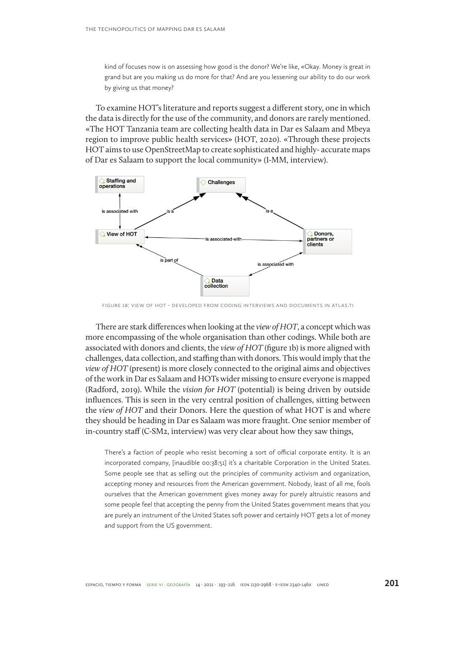kind of focuses now is on assessing how good is the donor? We're like, «Okay. Money is great in grand but are you making us do more for that? And are you lessening our ability to do our work by giving us that money?

To examine HOT's literature and reports suggest a different story, one in which the data is directly for the use of the community, and donors are rarely mentioned. «The HOT Tanzania team are collecting health data in Dar es Salaam and Mbeya region to improve public health services» (HOT, 2020). «Through these projects HOT aims to use OpenStreetMap to create sophisticated and highly- accurate maps of Dar es Salaam to support the local community» (I-MM, interview).



Figure 1b: View of HOT - Developed from coding interviews and documents in Atlas.ti

There are stark differences when looking at the *view of HOT*, a concept which was more encompassing of the whole organisation than other codings. While both are associated with donors and clients, the *view of HOT* (figure 1b) is more aligned with challenges, data collection, and staffing than with donors. This would imply that the *view of HOT* (present) is more closely connected to the original aims and objectives of the work in Dar es Salaam and HOTs wider missing to ensure everyone is mapped (Radford, 2019). While the *vision for HOT* (potential) is being driven by outside influences. This is seen in the very central position of challenges, sitting between the *view of HOT* and their Donors. Here the question of what HOT is and where they should be heading in Dar es Salaam was more fraught. One senior member of in-country staff (C-SM2, interview) was very clear about how they saw things,

There's a faction of people who resist becoming a sort of official corporate entity. It is an incorporated company, [inaudible 00:38:51] it's a charitable Corporation in the United States. Some people see that as selling out the principles of community activism and organization, accepting money and resources from the American government. Nobody, least of all me, fools ourselves that the American government gives money away for purely altruistic reasons and some people feel that accepting the penny from the United States government means that you are purely an instrument of the United States soft power and certainly HOT gets a lot of money and support from the US government.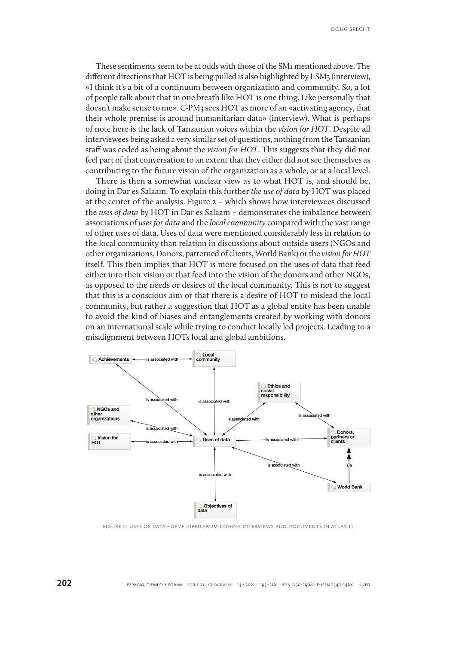These sentiments seem to be at odds with those of the SM1 mentioned above. The different directions that HOT is being pulled is also highlighted by I-SM3 (interview), «I think it's a bit of a continuum between organization and community. So, a lot of people talk about that in one breath like HOT is one thing. Like personally that doesn't make sense to me». C-PM3 sees HOT as more of an «activating agency, that their whole premise is around humanitarian data» (interview). What is perhaps of note here is the lack of Tanzanian voices within the *vision for HOT*. Despite all interviewees being asked a very similar set of questions, nothing from the Tanzanian staff was coded as being about the *vision for HOT*. This suggests that they did not feel part of that conversation to an extent that they either did not see themselves as contributing to the future vision of the organization as a whole, or at a local level.

There is then a somewhat unclear view as to what HOT is, and should be, doing in Dar es Salaam. To explain this further *the use of data* by HOT was placed at the center of the analysis. Figure 2 – which shows how interviewees discussed the *uses of data* by HOT in Dar es Salaam – demonstrates the imbalance between associations of *uses for data* and the *local community* compared with the vast range of other uses of data. Uses of data were mentioned considerably less in relation to the local community than relation in discussions about outside users (NGOs and other organizations, Donors, patterned of clients, World Bank) or the *vision for HOT* itself. This then implies that HOT is more focused on the uses of data that feed either into their vision or that feed into the vision of the donors and other NGOs, as opposed to the needs or desires of the local community. This is not to suggest that this is a conscious aim or that there is a desire of HOT to mislead the local community, but rather a suggestion that HOT as a global entity has been unable to avoid the kind of biases and entanglements created by working with donors on an international scale while trying to conduct locally led projects. Leading to a misalignment between HOTs local and global ambitions.



Figure 2: Uses of Data - Developed from coding interviews and documents in Atlas.ti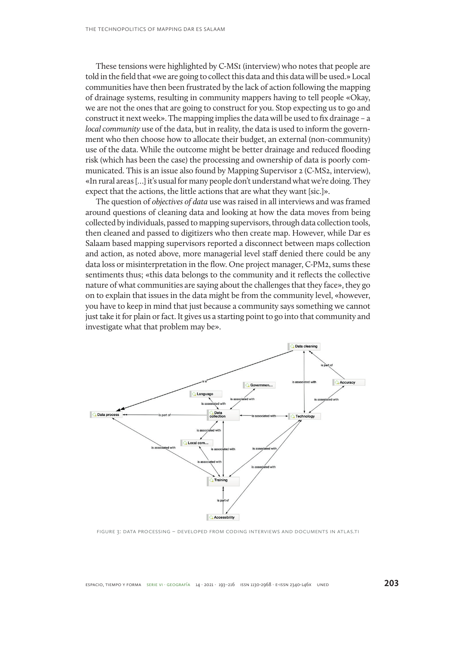These tensions were highlighted by C-MS1 (interview) who notes that people are told in the field that «we are going to collect this data and this data will be used.» Local communities have then been frustrated by the lack of action following the mapping of drainage systems, resulting in community mappers having to tell people «Okay, we are not the ones that are going to construct for you. Stop expecting us to go and construct it next week». The mapping implies the data will be used to fix drainage – a *local community* use of the data, but in reality, the data is used to inform the government who then choose how to allocate their budget, an external (non-community) use of the data. While the outcome might be better drainage and reduced flooding risk (which has been the case) the processing and ownership of data is poorly communicated. This is an issue also found by Mapping Supervisor 2 (C-MS2, interview), «In rural areas […] it's usual for many people don't understand what we're doing. They expect that the actions, the little actions that are what they want [sic.]».

The question of *objectives of data* use was raised in all interviews and was framed around questions of cleaning data and looking at how the data moves from being collected by individuals, passed to mapping supervisors, through data collection tools, then cleaned and passed to digitizers who then create map. However, while Dar es Salaam based mapping supervisors reported a disconnect between maps collection and action, as noted above, more managerial level staff denied there could be any data loss or misinterpretation in the flow. One project manager, C-PM2, sums these sentiments thus; «this data belongs to the community and it reflects the collective nature of what communities are saying about the challenges that they face», they go on to explain that issues in the data might be from the community level, «however, you have to keep in mind that just because a community says something we cannot just take it for plain or fact. It gives us a starting point to go into that community and investigate what that problem may be».



Figure 3: Data Processing – Developed from coding interviews and documents in Atlas.ti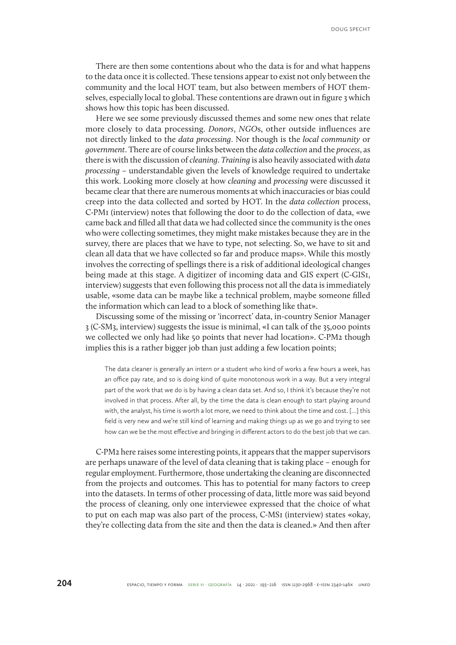Doug Specht

There are then some contentions about who the data is for and what happens to the data once it is collected. These tensions appear to exist not only between the community and the local HOT team, but also between members of HOT themselves, especially local to global. These contentions are drawn out in figure 3 which shows how this topic has been discussed.

Here we see some previously discussed themes and some new ones that relate more closely to data processing. *Donors*, *NGO*s, other outside influences are not directly linked to the *data processing*. Nor though is the *local community* or *government*. There are of course links between the *data collection* and the *process*, as there is with the discussion of *cleaning*. *Training* is also heavily associated with *data processing* – understandable given the levels of knowledge required to undertake this work. Looking more closely at how *cleaning* and *processing* were discussed it became clear that there are numerous moments at which inaccuracies or bias could creep into the data collected and sorted by HOT. In the *data collection* process, C-PM1 (interview) notes that following the door to do the collection of data, «we came back and filled all that data we had collected since the community is the ones who were collecting sometimes, they might make mistakes because they are in the survey, there are places that we have to type, not selecting. So, we have to sit and clean all data that we have collected so far and produce maps». While this mostly involves the correcting of spellings there is a risk of additional ideological changes being made at this stage. A digitizer of incoming data and GIS expert (C-GIS1, interview) suggests that even following this process not all the data is immediately usable, «some data can be maybe like a technical problem, maybe someone filled the information which can lead to a block of something like that».

Discussing some of the missing or 'incorrect' data, in-country Senior Manager 3 (C-SM3, interview) suggests the issue is minimal, «I can talk of the 35,000 points we collected we only had like 50 points that never had location». C-PM2 though implies this is a rather bigger job than just adding a few location points;

The data cleaner is generally an intern or a student who kind of works a few hours a week, has an office pay rate, and so is doing kind of quite monotonous work in a way. But a very integral part of the work that we do is by having a clean data set. And so, I think it's because they're not involved in that process. After all, by the time the data is clean enough to start playing around with, the analyst, his time is worth a lot more, we need to think about the time and cost. […] this field is very new and we're still kind of learning and making things up as we go and trying to see how can we be the most effective and bringing in different actors to do the best job that we can.

C-PM2 here raises some interesting points, it appears that the mapper supervisors are perhaps unaware of the level of data cleaning that is taking place – enough for regular employment. Furthermore, those undertaking the cleaning are disconnected from the projects and outcomes. This has to potential for many factors to creep into the datasets. In terms of other processing of data, little more was said beyond the process of cleaning, only one interviewee expressed that the choice of what to put on each map was also part of the process, C-MS1 (interview) states «okay, they're collecting data from the site and then the data is cleaned.» And then after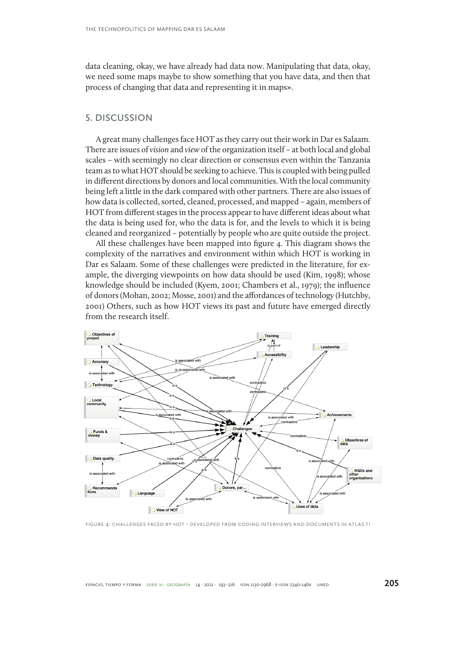data cleaning, okay, we have already had data now. Manipulating that data, okay, we need some maps maybe to show something that you have data, and then that process of changing that data and representing it in maps».

### **5. DISCUSSION**

A great many challenges face HOT as they carry out their work in Dar es Salaam. There are issues of *vision* and *view* of the organization itself – at both local and global scales – with seemingly no clear direction or consensus even within the Tanzania team as to what HOT should be seeking to achieve. This is coupled with being pulled in different directions by donors and local communities. With the local community being left a little in the dark compared with other partners. There are also issues of how data is collected, sorted, cleaned, processed, and mapped – again, members of HOT from different stages in the process appear to have different ideas about what the data is being used for, who the data is for, and the levels to which it is being cleaned and reorganized – potentially by people who are quite outside the project.

All these challenges have been mapped into figure 4. This diagram shows the complexity of the narratives and environment within which HOT is working in Dar es Salaam. Some of these challenges were predicted in the literature, for example, the diverging viewpoints on how data should be used (Kim, 1998); whose knowledge should be included (Kyem, 2001; Chambers et al., 1979); the influence of donors (Mohan, 2002; Mosse, 2001) and the affordances of technology (Hutchby, 2001) Others, such as how HOT views its past and future have emerged directly from the research itself.



Figure 4: Challenges faced by HOT - Developed from coding interviews and documents in Atlas.ti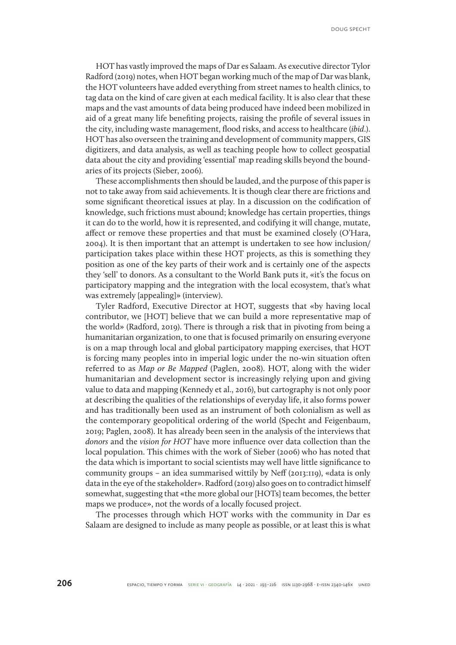HOT has vastly improved the maps of Dar es Salaam. As executive director Tylor Radford (2019) notes, when HOT began working much of the map of Dar was blank, the HOT volunteers have added everything from street names to health clinics, to tag data on the kind of care given at each medical facility. It is also clear that these maps and the vast amounts of data being produced have indeed been mobilized in aid of a great many life benefiting projects, raising the profile of several issues in the city, including waste management, flood risks, and access to healthcare (*ibid*.). HOT has also overseen the training and development of community mappers, GIS digitizers, and data analysis, as well as teaching people how to collect geospatial data about the city and providing 'essential' map reading skills beyond the boundaries of its projects (Sieber, 2006).

These accomplishments then should be lauded, and the purpose of this paper is not to take away from said achievements. It is though clear there are frictions and some significant theoretical issues at play. In a discussion on the codification of knowledge, such frictions must abound; knowledge has certain properties, things it can do to the world, how it is represented, and codifying it will change, mutate, affect or remove these properties and that must be examined closely (O'Hara, 2004). It is then important that an attempt is undertaken to see how inclusion/ participation takes place within these HOT projects, as this is something they position as one of the key parts of their work and is certainly one of the aspects they 'sell' to donors. As a consultant to the World Bank puts it, «it's the focus on participatory mapping and the integration with the local ecosystem, that's what was extremely [appealing]» (interview).

Tyler Radford, Executive Director at HOT, suggests that «by having local contributor, we [HOT] believe that we can build a more representative map of the world» (Radford, 2019). There is through a risk that in pivoting from being a humanitarian organization, to one that is focused primarily on ensuring everyone is on a map through local and global participatory mapping exercises, that HOT is forcing many peoples into in imperial logic under the no-win situation often referred to as *Map or Be Mapped* (Paglen, 2008). HOT, along with the wider humanitarian and development sector is increasingly relying upon and giving value to data and mapping (Kennedy et al., 2016), but cartography is not only poor at describing the qualities of the relationships of everyday life, it also forms power and has traditionally been used as an instrument of both colonialism as well as the contemporary geopolitical ordering of the world (Specht and Feigenbaum, 2019; Paglen, 2008). It has already been seen in the analysis of the interviews that *donors* and the *vision for HOT* have more influence over data collection than the local population. This chimes with the work of Sieber (2006) who has noted that the data which is important to social scientists may well have little significance to community groups – an idea summarised wittily by Neff (2013:119), «data is only data in the eye of the stakeholder». Radford (2019) also goes on to contradict himself somewhat, suggesting that «the more global our [HOTs] team becomes, the better maps we produce», not the words of a locally focused project.

The processes through which HOT works with the community in Dar es Salaam are designed to include as many people as possible, or at least this is what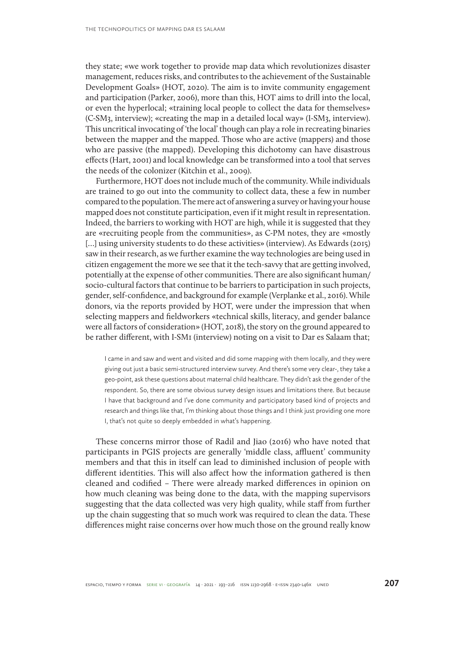they state; «we work together to provide map data which revolutionizes disaster management, reduces risks, and contributes to the achievement of the Sustainable Development Goals» (HOT, 2020). The aim is to invite community engagement and participation (Parker, 2006), more than this, HOT aims to drill into the local, or even the hyperlocal; «training local people to collect the data for themselves» (C-SM3, interview); «creating the map in a detailed local way» (I-SM3, interview). This uncritical invocating of 'the local' though can play a role in recreating binaries between the mapper and the mapped. Those who are active (mappers) and those who are passive (the mapped). Developing this dichotomy can have disastrous effects (Hart, 2001) and local knowledge can be transformed into a tool that serves the needs of the colonizer (Kitchin et al., 2009).

Furthermore, HOT does not include much of the community. While individuals are trained to go out into the community to collect data, these a few in number compared to the population. The mere act of answering a survey or having your house mapped does not constitute participation, even if it might result in representation. Indeed, the barriers to working with HOT are high, while it is suggested that they are «recruiting people from the communities», as C-PM notes, they are «mostly […] using university students to do these activities» (interview). As Edwards (2015) saw in their research, as we further examine the way technologies are being used in citizen engagement the more we see that it the tech-savvy that are getting involved, potentially at the expense of other communities. There are also significant human/ socio-cultural factors that continue to be barriers to participation in such projects, gender, self-confidence, and background for example (Verplanke et al., 2016). While donors, via the reports provided by HOT, were under the impression that when selecting mappers and fieldworkers «technical skills, literacy, and gender balance were all factors of consideration» (HOT, 2018), the story on the ground appeared to be rather different, with I-SM1 (interview) noting on a visit to Dar es Salaam that;

I came in and saw and went and visited and did some mapping with them locally, and they were giving out just a basic semi-structured interview survey. And there's some very clear-, they take a geo-point, ask these questions about maternal child healthcare. They didn't ask the gender of the respondent. So, there are some obvious survey design issues and limitations there. But because I have that background and I've done community and participatory based kind of projects and research and things like that, I'm thinking about those things and I think just providing one more I, that's not quite so deeply embedded in what's happening.

These concerns mirror those of Radil and Jiao (2016) who have noted that participants in PGIS projects are generally 'middle class, affluent' community members and that this in itself can lead to diminished inclusion of people with different identities. This will also affect how the information gathered is then cleaned and codified – There were already marked differences in opinion on how much cleaning was being done to the data, with the mapping supervisors suggesting that the data collected was very high quality, while staff from further up the chain suggesting that so much work was required to clean the data. These differences might raise concerns over how much those on the ground really know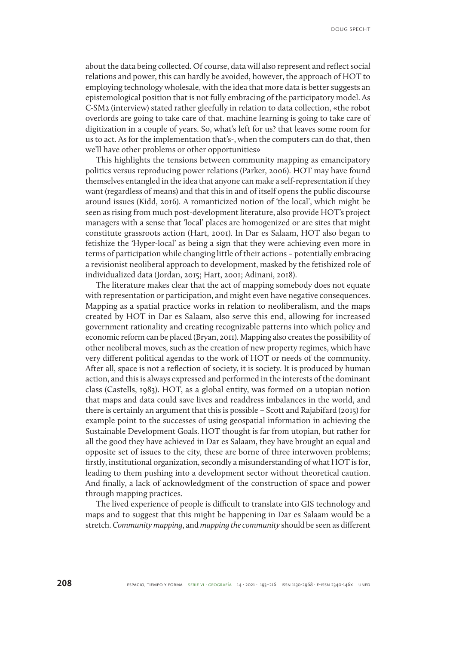about the data being collected. Of course, data will also represent and reflect social relations and power, this can hardly be avoided, however, the approach of HOT to employing technology wholesale, with the idea that more data is better suggests an epistemological position that is not fully embracing of the participatory model. As C-SM2 (interview) stated rather gleefully in relation to data collection, «the robot overlords are going to take care of that. machine learning is going to take care of digitization in a couple of years. So, what's left for us? that leaves some room for us to act. As for the implementation that's-, when the computers can do that, then we'll have other problems or other opportunities»

This highlights the tensions between community mapping as emancipatory politics versus reproducing power relations (Parker, 2006). HOT may have found themselves entangled in the idea that anyone can make a self-representation if they want (regardless of means) and that this in and of itself opens the public discourse around issues (Kidd, 2016). A romanticized notion of 'the local', which might be seen as rising from much post-development literature, also provide HOT's project managers with a sense that 'local' places are homogenized or are sites that might constitute grassroots action (Hart, 2001). In Dar es Salaam, HOT also began to fetishize the 'Hyper-local' as being a sign that they were achieving even more in terms of participation while changing little of their actions – potentially embracing a revisionist neoliberal approach to development, masked by the fetishized role of individualized data (Jordan, 2015; Hart, 2001; Adinani, 2018).

The literature makes clear that the act of mapping somebody does not equate with representation or participation, and might even have negative consequences. Mapping as a spatial practice works in relation to neoliberalism, and the maps created by HOT in Dar es Salaam, also serve this end, allowing for increased government rationality and creating recognizable patterns into which policy and economic reform can be placed (Bryan, 2011). Mapping also creates the possibility of other neoliberal moves, such as the creation of new property regimes, which have very different political agendas to the work of HOT or needs of the community. After all, space is not a reflection of society, it is society. It is produced by human action, and this is always expressed and performed in the interests of the dominant class (Castells, 1983). HOT, as a global entity, was formed on a utopian notion that maps and data could save lives and readdress imbalances in the world, and there is certainly an argument that this is possible – Scott and Rajabifard (2015) for example point to the successes of using geospatial information in achieving the Sustainable Development Goals. HOT thought is far from utopian, but rather for all the good they have achieved in Dar es Salaam, they have brought an equal and opposite set of issues to the city, these are borne of three interwoven problems; firstly, institutional organization, secondly a misunderstanding of what HOT is for, leading to them pushing into a development sector without theoretical caution. And finally, a lack of acknowledgment of the construction of space and power through mapping practices.

The lived experience of people is difficult to translate into GIS technology and maps and to suggest that this might be happening in Dar es Salaam would be a stretch. *Community mapping*, and *mapping the community* should be seen as different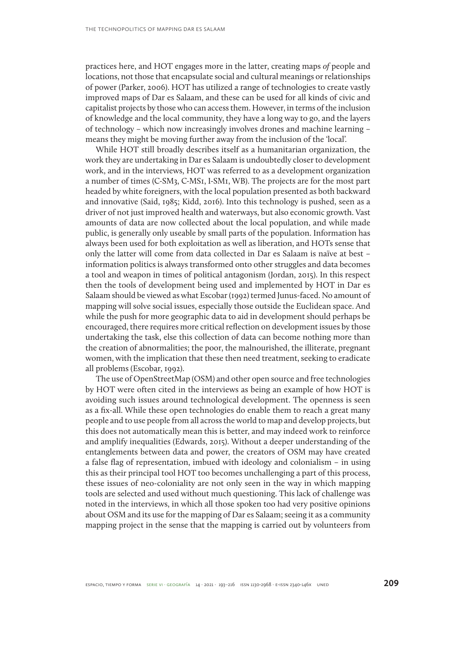practices here, and HOT engages more in the latter, creating maps *of* people and locations, not those that encapsulate social and cultural meanings or relationships of power (Parker, 2006). HOT has utilized a range of technologies to create vastly improved maps of Dar es Salaam, and these can be used for all kinds of civic and capitalist projects by those who can access them. However, in terms of the inclusion of knowledge and the local community, they have a long way to go, and the layers of technology – which now increasingly involves drones and machine learning – means they might be moving further away from the inclusion of the 'local'.

While HOT still broadly describes itself as a humanitarian organization, the work they are undertaking in Dar es Salaam is undoubtedly closer to development work, and in the interviews, HOT was referred to as a development organization a number of times (C-SM3, C-MS1, I-SM1, WB). The projects are for the most part headed by white foreigners, with the local population presented as both backward and innovative (Said, 1985; Kidd, 2016). Into this technology is pushed, seen as a driver of not just improved health and waterways, but also economic growth. Vast amounts of data are now collected about the local population, and while made public, is generally only useable by small parts of the population. Information has always been used for both exploitation as well as liberation, and HOTs sense that only the latter will come from data collected in Dar es Salaam is naïve at best – information politics is always transformed onto other struggles and data becomes a tool and weapon in times of political antagonism (Jordan, 2015). In this respect then the tools of development being used and implemented by HOT in Dar es Salaam should be viewed as what Escobar (1992) termed Junus-faced. No amount of mapping will solve social issues, especially those outside the Euclidean space. And while the push for more geographic data to aid in development should perhaps be encouraged, there requires more critical reflection on development issues by those undertaking the task, else this collection of data can become nothing more than the creation of abnormalities; the poor, the malnourished, the illiterate, pregnant women, with the implication that these then need treatment, seeking to eradicate all problems (Escobar, 1992).

The use of OpenStreetMap (OSM) and other open source and free technologies by HOT were often cited in the interviews as being an example of how HOT is avoiding such issues around technological development. The openness is seen as a fix-all. While these open technologies do enable them to reach a great many people and to use people from all across the world to map and develop projects, but this does not automatically mean this is better, and may indeed work to reinforce and amplify inequalities (Edwards, 2015). Without a deeper understanding of the entanglements between data and power, the creators of OSM may have created a false flag of representation, imbued with ideology and colonialism – in using this as their principal tool HOT too becomes unchallenging a part of this process, these issues of neo-coloniality are not only seen in the way in which mapping tools are selected and used without much questioning. This lack of challenge was noted in the interviews, in which all those spoken too had very positive opinions about OSM and its use for the mapping of Dar es Salaam; seeing it as a community mapping project in the sense that the mapping is carried out by volunteers from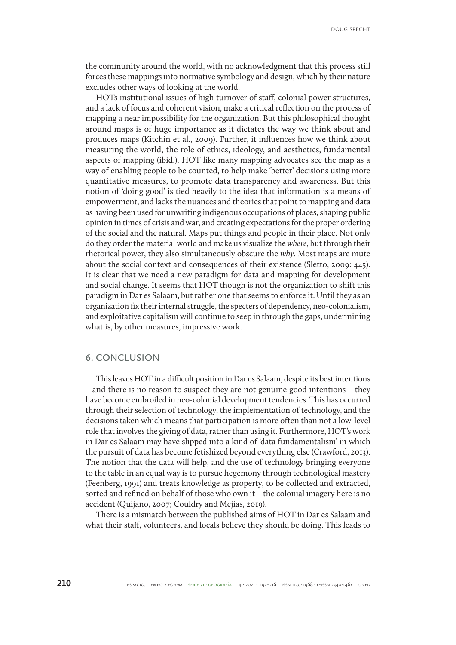the community around the world, with no acknowledgment that this process still forces these mappings into normative symbology and design, which by their nature excludes other ways of looking at the world.

HOTs institutional issues of high turnover of staff, colonial power structures, and a lack of focus and coherent vision, make a critical reflection on the process of mapping a near impossibility for the organization. But this philosophical thought around maps is of huge importance as it dictates the way we think about and produces maps (Kitchin et al., 2009). Further, it influences how we think about measuring the world, the role of ethics, ideology, and aesthetics, fundamental aspects of mapping (ibid.). HOT like many mapping advocates see the map as a way of enabling people to be counted, to help make 'better' decisions using more quantitative measures, to promote data transparency and awareness. But this notion of 'doing good' is tied heavily to the idea that information is a means of empowerment, and lacks the nuances and theories that point to mapping and data as having been used for unwriting indigenous occupations of places, shaping public opinion in times of crisis and war, and creating expectations for the proper ordering of the social and the natural. Maps put things and people in their place. Not only do they order the material world and make us visualize the *where*, but through their rhetorical power, they also simultaneously obscure the *why.* Most maps are mute about the social context and consequences of their existence (Sletto, 2009: 445). It is clear that we need a new paradigm for data and mapping for development and social change. It seems that HOT though is not the organization to shift this paradigm in Dar es Salaam, but rather one that seems to enforce it. Until they as an organization fix their internal struggle, the specters of dependency, neo-colonialism, and exploitative capitalism will continue to seep in through the gaps, undermining what is, by other measures, impressive work.

### **6. CONCLUSION**

This leaves HOT in a difficult position in Dar es Salaam, despite its best intentions – and there is no reason to suspect they are not genuine good intentions – they have become embroiled in neo-colonial development tendencies. This has occurred through their selection of technology, the implementation of technology, and the decisions taken which means that participation is more often than not a low-level role that involves the giving of data, rather than using it. Furthermore, HOT's work in Dar es Salaam may have slipped into a kind of 'data fundamentalism' in which the pursuit of data has become fetishized beyond everything else (Crawford, 2013). The notion that the data will help, and the use of technology bringing everyone to the table in an equal way is to pursue hegemony through technological mastery (Feenberg, 1991) and treats knowledge as property, to be collected and extracted, sorted and refined on behalf of those who own it – the colonial imagery here is no accident (Quijano, 2007; Couldry and Mejias, 2019).

There is a mismatch between the published aims of HOT in Dar es Salaam and what their staff, volunteers, and locals believe they should be doing. This leads to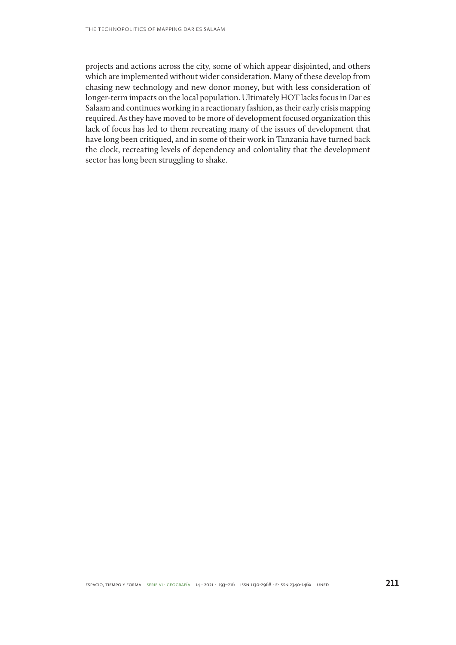projects and actions across the city, some of which appear disjointed, and others which are implemented without wider consideration. Many of these develop from chasing new technology and new donor money, but with less consideration of longer-term impacts on the local population. Ultimately HOT lacks focus in Dar es Salaam and continues working in a reactionary fashion, as their early crisis mapping required. As they have moved to be more of development focused organization this lack of focus has led to them recreating many of the issues of development that have long been critiqued, and in some of their work in Tanzania have turned back the clock, recreating levels of dependency and coloniality that the development sector has long been struggling to shake.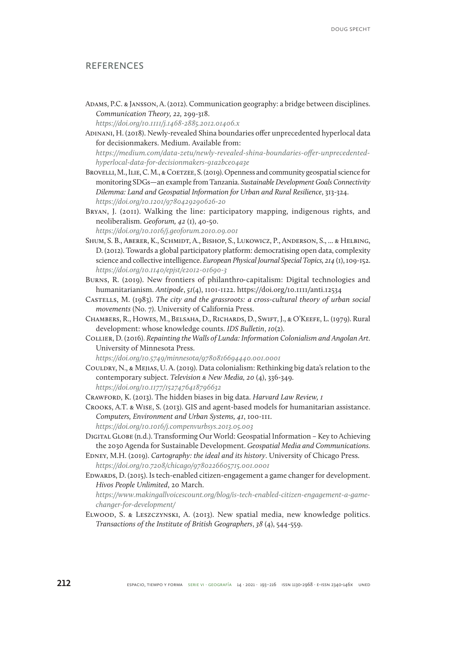### **REFERENCES**

Adams, P.C. & Jansson, A. (2012). Communication geography: a bridge between disciplines. *Communication Theory, 22,* 299-318.

*<https://doi.org/10.1111/j.1468-2885.2012.01406.x>*

Adinani, H. (2018). Newly-revealed Shina boundaries offer unprecedented hyperlocal data for decisionmakers. Medium. Available from:

*[https://medium.com/data-zetu/newly-revealed-shina-boundaries-offer-unprecedented](https://medium.com/data-zetu/newly-revealed-shina-boundaries-offer-unprecedented-hyperlocal-data-for-decisionmakers-91a2bce04a3e)[hyperlocal-data-for-decisionmakers-91a2bce04a3e](https://medium.com/data-zetu/newly-revealed-shina-boundaries-offer-unprecedented-hyperlocal-data-for-decisionmakers-91a2bce04a3e)*

- BROVELLI, M., ILIE, C. M., & COETZEE, S. (2019). Openness and community geospatial science for monitoring SDGs—an example from Tanzania. *Sustainable Development Goals Connectivity Dilemma: Land and Geospatial Information for Urban and Rural Resilience*, 313-324. *<https://doi.org/10.1201/9780429290626-20>*
- Bryan, J. (2011). Walking the line: participatory mapping, indigenous rights, and neoliberalism. *Geoforum, 42* (1), 40-50. *<https://doi.org/10.1016/j.geoforum.2010.09.001>*
- Shum, S. B., Aberer, K., Schmidt, A., Bishop, S., Lukowicz, P., Anderson, S., ... & Helbing, D. (2012). Towards a global participatory platform: democratising open data, complexity science and collective intelligence. *European Physical Journal Special Topics, 214* (1), 109-152. *<https://doi.org/10.1140/epjst/e2012-01690-3>*
- Burns, R. (2019). New frontiers of philanthro‐capitalism: Digital technologies and humanitarianism. *Antipode*, *51*(4), 1101-1122. https://doi.org/10.1111/anti.12534
- Castells, M. (1983). *The city and the grassroots: a cross-cultural theory of urban social movements* (No. 7). University of California Press.
- Chambers, R., Howes, M., Belsaha, D., Richards, D., Swift, J., & O'Keefe, L. (1979). Rural development: whose knowledge counts. *IDS Bulletin*, *10*(2).
- Collier, D. (2016). *Repainting the Walls of Lunda: Information Colonialism and Angolan Art*. University of Minnesota Press.

*<https://doi.org/10.5749/minnesota/9780816694440.001.0001>*

Couldry, N., & Mejias, U. A. (2019). Data colonialism: Rethinking big data's relation to the contemporary subject. *Television & New Media, 20* (4), 336-349. *<https://doi.org/10.1177/1527476418796632>*

Crawford, K. (2013). The hidden biases in big data. *Harvard Law Review, 1*

Crooks, A.T. & Wise, S. (2013). GIS and agent-based models for humanitarian assistance. *Computers, Environment and Urban Systems, 41*, 100-111.

*<https://doi.org/10.1016/j.compenvurbsys.2013.05.003>*

- Digital Globe (n.d.). Transforming Our World: Geospatial Information Key to Achieving the 2030 Agenda for Sustainable Development. *Geospatial Media and Communications.*
- Edney, M.H. (2019). *Cartography: the ideal and its history*. University of Chicago Press. *<https://doi.org/10.7208/chicago/9780226605715.001.0001>*
- Edwards, D. (2015). Is tech-enabled citizen-engagement a game changer for development. *Hivos People Unlimited*, 20 March.

*[https://www.makingallvoicescount.org/blog/is-tech-enabled-citizen-engagement-a-game](https://www.makingallvoicescount.org/blog/is-tech-enabled-citizen-engagement-a-game-changer-for-deve)[changer-for-development/](https://www.makingallvoicescount.org/blog/is-tech-enabled-citizen-engagement-a-game-changer-for-deve)*

Elwood, S. & Leszczynski, A. (2013). New spatial media, new knowledge politics. *Transactions of the Institute of British Geographers*, *38* (4), 544-559.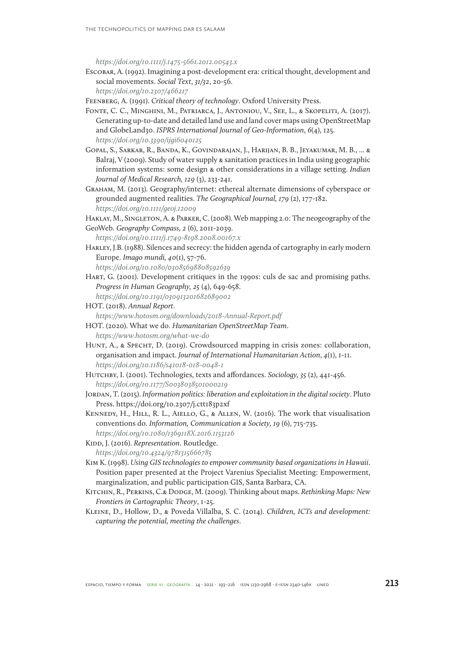*<https://doi.org/10.1111/j.1475-5661.2012.00543.x>*

Escobar, A. (1992). Imagining a post-development era: critical thought, development and social movements. *Social Text*, *31/32*, 20-56.

*<https://doi.org/10.2307/466217>*

Feenberg, A. (1991). *Critical theory of technology*. Oxford University Press.

- Fonte, C. C., Minghini, M., Patriarca, J., Antoniou, V., See, L., & Skopeliti, A. (2017). Generating up-to-date and detailed land use and land cover maps using OpenStreetMap and GlobeLand30. *ISPRS International Journal of Geo-Information*, *6*(4), 125. *<https://doi.org/10.3390/ijgi6040125>*
- Gopal, S., Sarkar, R., Banda, K., Govindarajan, J., Harijan, B. B., Jeyakumar, M. B., ... & Balraj, V (2009). Study of water supply & sanitation practices in India using geographic information systems: some design & other considerations in a village setting. *Indian Journal of Medical Research, 129* (3), 233-241.
- Graham, M. (2013). Geography/internet: ethereal alternate dimensions of cyberspace or grounded augmented realities. *The Geographical Journal, 179* (2), 177-182. *<https://doi.org/10.1111/geoj.12009>*

HAKLAY, M., SINGLETON, A. & PARKER, C. (2008). Web mapping 2.0: The neogeography of the GeoWeb. *Geography Compass, 2* (6), 2011-2039.

*[https://doi.org/10.1111/j.1749-8198.2008.00167.x](https://doi.org/10.1111/j.1749-8198.2008.00167.x )*

Harley, J.B. (1988). Silences and secrecy: the hidden agenda of cartography in early modern Europe. *Imago mundi, 40*(1), 57-76.

*<https://doi.org/10.1080/03085698808592639>*

Hart, G. (2001). Development critiques in the 1990s: culs de sac and promising paths. *Progress in Human Geography, 25* (4), 649-658.

*<https://doi.org/10.1191/030913201682689002>*

- HOT. (2018). *Annual Report*. *[https://www.hotosm.org/downloads/2018-Annual-Report.pdf]( https://www.hotosm.org/downloads/2018-Annual-Report.pdf  )*
- HOT. (2020). What we do. *Humanitarian OpenStreetMap Team*. *<https://www.hotosm.org/what-we-do>*
- HUNT, A., & SPECHT, D. (2019). Crowdsourced mapping in crisis zones: collaboration, organisation and impact. *Journal of International Humanitarian Action*, *4*(1), 1-11. *<https://doi.org/10.1186/s41018-018-0048-1>*
- Hutchby, I. (2001). Technologies, texts and affordances. *Sociology, 35* (2), 441-456. *[https://doi.org/10.1177/S0038038501000219](https://doi.org/10.1177/S0038038501000219 )*
- Jordan, T. (2015). *Information politics: liberation and exploitation in the digital society*. Pluto Press. https://doi.org/10.2307/j.ctt183p2xf
- Kennedy, H., Hill, R. L., Aiello, G., & Allen, W. (2016). The work that visualisation conventions do. *Information, Communication & Society, 19* (6), 715-735. *<https://doi.org/10.1080/1369118X.2016.1153126>*

KIDD, J. (2016). *Representation*. Routledge. *<https://doi.org/10.4324/9781315666785>*

- Kim K. (1998). *Using GIS technologies to empower community based organizations in Hawaii*. Position paper presented at the Project Varenius Specialist Meeting: Empowerment, marginalization, and public participation GIS, Santa Barbara, CA.
- Kitchin, R., Perkins, C.& Dodge, M. (2009). Thinking about maps. *Rethinking Maps: New Frontiers in Cartographic Theory*, 1-25.
- Kleine, D., Hollow, D., & Poveda Villalba, S. C. (2014). *Children, ICTs and development: capturing the potential, meeting the challenges*.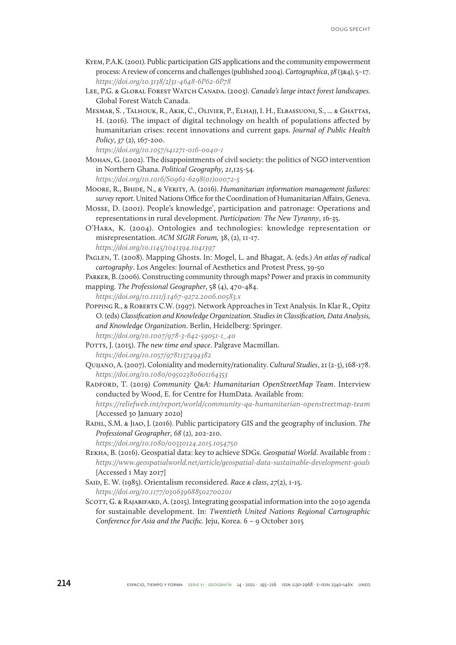- Kyem, P.A.K. (2001). Public participation GIS applications and the community empowerment process: A review of concerns and challenges (published 2004). *Cartographica*, *38* (3&4), 5–17. *<https://doi.org/10.3138/2J31-4648-6P62-6P78>*
- LEE, P.G. & GLOBAL FOREST WATCH CANADA. (2003). *Canada's large intact forest landscapes.* Global Forest Watch Canada.
- Mesmar, S. , Talhouk, R., Akik, C., Olivier, P., Elhajj, I. H., Elbassuoni, S., ... & Ghattas, H. (2016). The impact of digital technology on health of populations affected by humanitarian crises: recent innovations and current gaps. *Journal of Public Health Policy*, *37* (2), 167-200.

*<https://doi.org/10.1057/s41271-016-0040-1>*

- Mohan, G. (2002). The disappointments of civil society: the politics of NGO intervention in Northern Ghana. *Political Geography, 21*,125-54. *[https://doi.org/10.1016/S0962-6298\(01\)00072-5](https://doi.org/10.1016/S0962-6298(01)00072-5)*
- Moore, R., Bhide, N., & Verity, A. (2016). *Humanitarian information management failures: survey report*. United Nations Office for the Coordination of Humanitarian Affairs, Geneva.
- Mosse, D. (2001). People's knowledge', participation and patronage: Operations and representations in rural development. *Participation: The New Tyranny*, 16-35.
- O'Hara, K. (2004). Ontologies and technologies: knowledge representation or misrepresentation. *ACM SIGIR Forum,* 38, (2), 11-17. *<https://doi.org/10.1145/1041394.1041397>*
- Paglen, T. (2008). Mapping Ghosts. In: Mogel, L. and Bhagat, A. (eds.) *An atlas of radical cartography*. Los Angeles: Journal of Aesthetics and Protest Press, 39-50
- Parker, B. (2006). Constructing community through maps? Power and praxis in community
- mapping. *The Professional Geographer*, 58 (4), 470-484. *<https://doi.org/10.1111/j.1467-9272.2006.00583.x>*
- Popping R., & Roberts C.W. (1997). Network Approaches in Text Analysis. In Klar R., Opitz O. (eds) *Classification and Knowledge Organization. Studies in Classification, Data Analysis, and Knowledge Organization*. Berlin, Heidelberg: Springer. *[https://doi.org/10.1007/978-3-642-59051-1\\_40](https://doi.org/10.1007/978-3-642-59051-1_40)*
- Potts, J. (2015). *The new time and space*. Palgrave Macmillan. *[https://doi.org/10.1057/9781137494382](https://doi.org/10.1057/9781137494382 )*
- Quijano, A. (2007). Coloniality and modernity/rationality. *Cultural Studies*, 21 (2-3), 168-178. *<https://doi.org/10.1080/09502380601164353>*
- Radford, T. (2019) *Community Q&A: Humanitarian OpenStreetMap Team*. Interview conducted by Wood, E. for Centre for HumData. Available from: *<https://reliefweb.int/report/world/community-qa-humanitarian-openstreetmap-team>* [Accessed 30 January 2020]
- Radil, S.M. & Jiao, J. (2016). Public participatory GIS and the geography of inclusion. *The Professional Geographer*, *68* (2), 202-210.

*[https://doi.org/10.1080/00330124.2015.1054750](https://doi.org/10.1080/00330124.2015.1054750 )*

Rekha, B. (2016). Geospatial data: key to achieve SDGs. *Geospatial World*. Available from : *<https://www.geospatialworld.net/article/geospatial-data-sustainable-development-goals>* [Accessed 1 May 2017]

Said, E. W. (1985). Orientalism reconsidered. *Race & class*, *27*(2), 1-15. *<https://doi.org/10.1177/030639688502700201>*

SCOTT, G. & RAJABIFARD, A. (2015). Integrating geospatial information into the 2030 agenda for sustainable development. In: *Twentieth United Nations Regional Cartographic Conference for Asia and the Pacific.* Jeju, Korea. 6 – 9 October 2015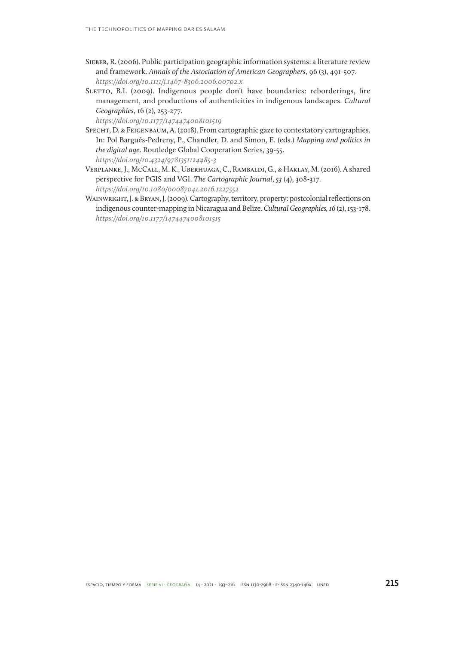- Sieber, R. (2006). Public participation geographic information systems: a literature review and framework. *Annals of the Association of American Geographers*, 96 (3), 491-507. *[https://doi.org/10.1111/j.1467-8306.2006.00702.x](https://doi.org/10.1111/j.1467-8306.2006.00702.x )*
- SLETTO, B.I. (2009). Indigenous people don't have boundaries: reborderings, fire management, and productions of authenticities in indigenous landscapes. *Cultural Geographies*, 16 (2), 253-277.

*<https://doi.org/10.1177/1474474008101519>*

- SPECHT, D. & FEIGENBAUM, A. (2018). From cartographic gaze to contestatory cartographies. In: Pol Bargués-Pedreny, P., Chandler, D. and Simon, E. (eds.) *Mapping and politics in the digital age*. Routledge Global Cooperation Series, 39-55. *<https://doi.org/10.4324/9781351124485-3>*
- Verplanke, J., McCall, M. K., Uberhuaga, C., Rambaldi, G., & Haklay, M. (2016). A shared perspective for PGIS and VGI. *The Cartographic Journal*, *53* (4), 308-317. *<https://doi.org/10.1080/00087041.2016.1227552>*
- WAINWRIGHT, J. & BRYAN, J. (2009). Cartography, territory, property: postcolonial reflections on indigenous counter-mapping in Nicaragua and Belize. *Cultural Geographies, 16* (2), 153-178. *<https://doi.org/10.1177/1474474008101515>*